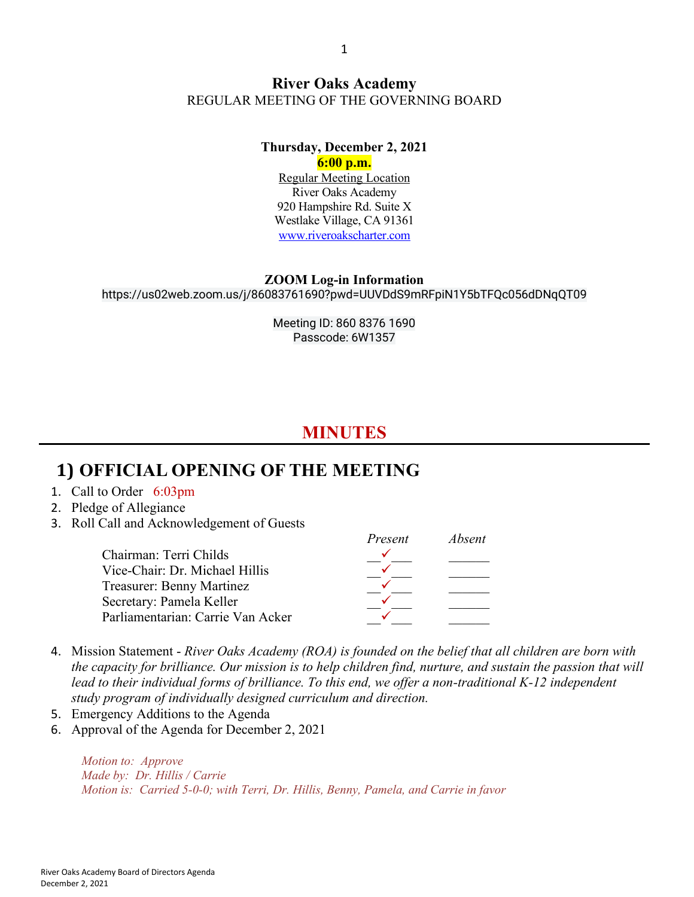#### **River Oaks Academy** REGULAR MEETING OF THE GOVERNING BOARD

#### **Thursday, December 2, 2021**

**6:00 p.m.** Regular Meeting Location River Oaks Academy 920 Hampshire Rd. Suite X Westlake Village, CA 91361 [www.riveroakscharter.com](http://www.riveroakscharter.com/)

#### **ZOOM Log-in Information**

https://us02web.zoom.us/j/86083761690?pwd=UUVDdS9mRFpiN1Y5bTFQc056dDNqQT09

Meeting ID: 860 8376 1690 Passcode: 6W1357

### **MINUTES**

*Present Absent*

### **1) OFFICIAL OPENING OF THE MEETING**

- 1. Call to Order 6:03pm
- 2. Pledge of Allegiance
- 3. Roll Call and Acknowledgement of Guests

|                                   | <i>r resent</i> | ADSent |
|-----------------------------------|-----------------|--------|
| Chairman: Terri Childs            |                 |        |
| Vice-Chair: Dr. Michael Hillis    |                 |        |
| Treasurer: Benny Martinez         |                 |        |
| Secretary: Pamela Keller          |                 |        |
| Parliamentarian: Carrie Van Acker |                 |        |
|                                   |                 |        |

- 4. Mission Statement *River Oaks Academy (ROA) is founded on the belief that all children are born with the capacity for brilliance. Our mission is to help children find, nurture, and sustain the passion that will*  lead to their individual forms of brilliance. To this end, we offer a non-traditional K-12 independent *study program of individually designed curriculum and direction.*
- 5. Emergency Additions to the Agenda
- 6. Approval of the Agenda for December 2, 2021

*Motion to: Approve Made by: Dr. Hillis / Carrie Motion is: Carried 5-0-0; with Terri, Dr. Hillis, Benny, Pamela, and Carrie in favor*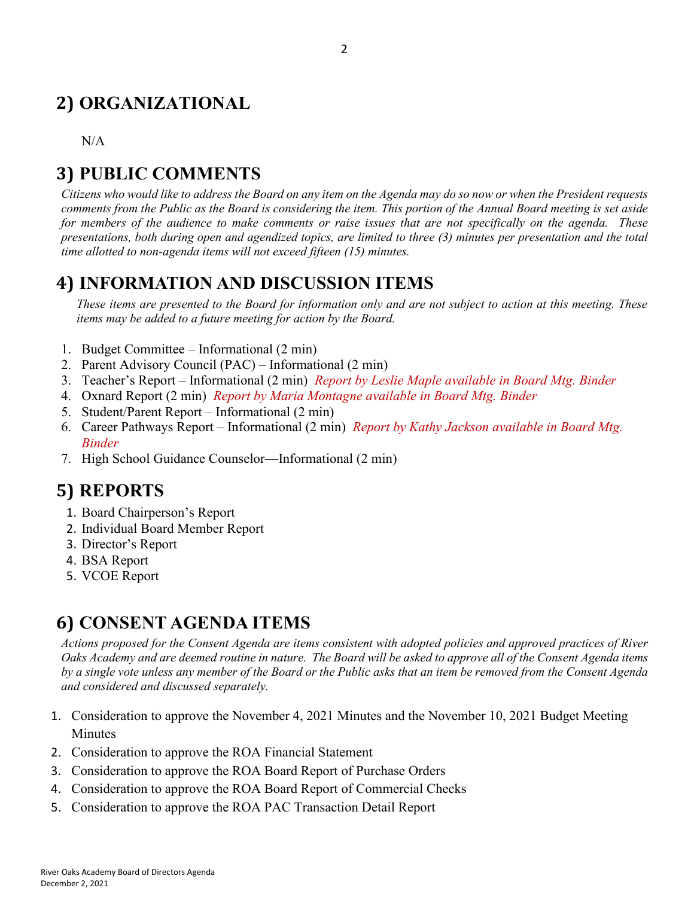# **2) ORGANIZATIONAL**

N/A

# **3) PUBLIC COMMENTS**

*Citizens who would like to address the Board on any item on the Agenda may do so now or when the President requests comments from the Public as the Board is considering the item. This portion of the Annual Board meeting is set aside for members of the audience to make comments or raise issues that are not specifically on the agenda. These presentations, both during open and agendized topics, are limited to three (3) minutes per presentation and the total time allotted to non-agenda items will not exceed fifteen (15) minutes.*

## **4) INFORMATION AND DISCUSSION ITEMS**

*These items are presented to the Board for information only and are not subject to action at this meeting. These items may be added to a future meeting for action by the Board.*

- 1. Budget Committee Informational (2 min)
- 2. Parent Advisory Council (PAC) Informational (2 min)
- 3. Teacher's Report Informational (2 min) *Report by Leslie Maple available in Board Mtg. Binder*
- 4. Oxnard Report (2 min) *Report by Maria Montagne available in Board Mtg. Binder*
- 5. Student/Parent Report Informational (2 min)
- 6. Career Pathways Report Informational (2 min) *Report by Kathy Jackson available in Board Mtg. Binder*
- 7. High School Guidance Counselor—Informational (2 min)

# **5) REPORTS**

- 1. Board Chairperson's Report
- 2. Individual Board Member Report
- 3. Director's Report
- 4. BSA Report
- 5. VCOE Report

# **6) CONSENT AGENDA ITEMS**

*Actions proposed for the Consent Agenda are items consistent with adopted policies and approved practices of River Oaks Academy and are deemed routine in nature. The Board will be asked to approve all of the Consent Agenda items by a single vote unless any member of the Board or the Public asks that an item be removed from the Consent Agenda and considered and discussed separately.*

- 1. Consideration to approve the November 4, 2021 Minutes and the November 10, 2021 Budget Meeting Minutes
- 2. Consideration to approve the ROA Financial Statement
- 3. Consideration to approve the ROA Board Report of Purchase Orders
- 4. Consideration to approve the ROA Board Report of Commercial Checks
- 5. Consideration to approve the ROA PAC Transaction Detail Report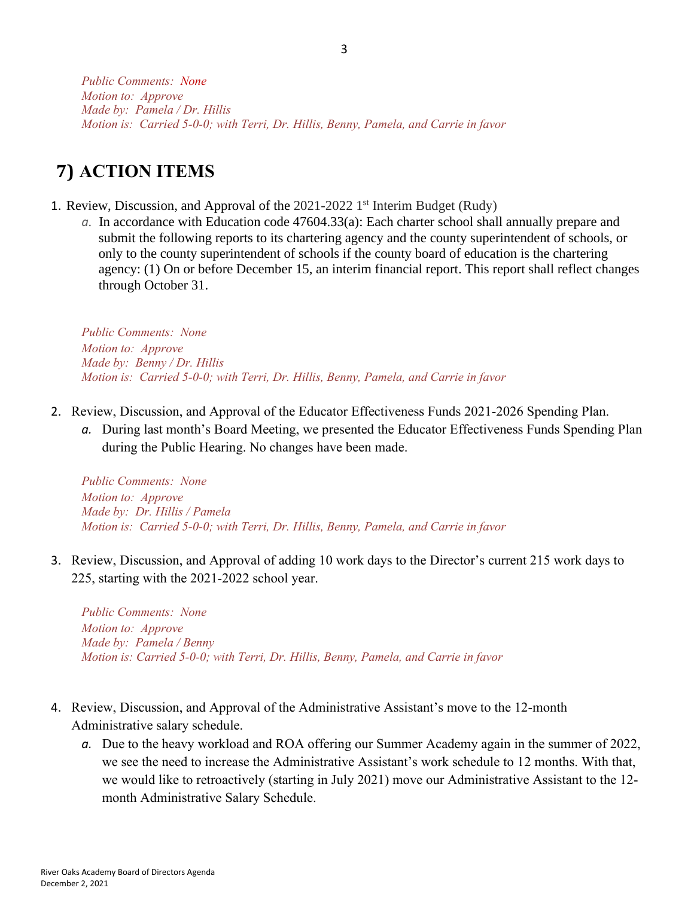*Public Comments: None Motion to: Approve Made by: Pamela / Dr. Hillis Motion is: Carried 5-0-0; with Terri, Dr. Hillis, Benny, Pamela, and Carrie in favor*

# **7) ACTION ITEMS**

- 1. Review, Discussion, and Approval of the 2021-2022 1st Interim Budget (Rudy)
	- *a.* In accordance with Education code 47604.33(a): Each charter school shall annually prepare and submit the following reports to its chartering agency and the county superintendent of schools, or only to the county superintendent of schools if the county board of education is the chartering agency: (1) On or before December 15, an interim financial report. This report shall reflect changes through October 31.

*Public Comments: None Motion to: Approve Made by: Benny / Dr. Hillis Motion is: Carried 5-0-0; with Terri, Dr. Hillis, Benny, Pamela, and Carrie in favor*

- 2. Review, Discussion, and Approval of the Educator Effectiveness Funds 2021-2026 Spending Plan.
	- *a.* During last month's Board Meeting, we presented the Educator Effectiveness Funds Spending Plan during the Public Hearing. No changes have been made.

*Public Comments: None Motion to: Approve Made by: Dr. Hillis / Pamela Motion is: Carried 5-0-0; with Terri, Dr. Hillis, Benny, Pamela, and Carrie in favor*

3. Review, Discussion, and Approval of adding 10 work days to the Director's current 215 work days to 225, starting with the 2021-2022 school year.

*Public Comments: None Motion to: Approve Made by: Pamela / Benny Motion is: Carried 5-0-0; with Terri, Dr. Hillis, Benny, Pamela, and Carrie in favor* 

- 4. Review, Discussion, and Approval of the Administrative Assistant's move to the 12-month Administrative salary schedule.
	- *a.* Due to the heavy workload and ROA offering our Summer Academy again in the summer of 2022, we see the need to increase the Administrative Assistant's work schedule to 12 months. With that, we would like to retroactively (starting in July 2021) move our Administrative Assistant to the 12 month Administrative Salary Schedule.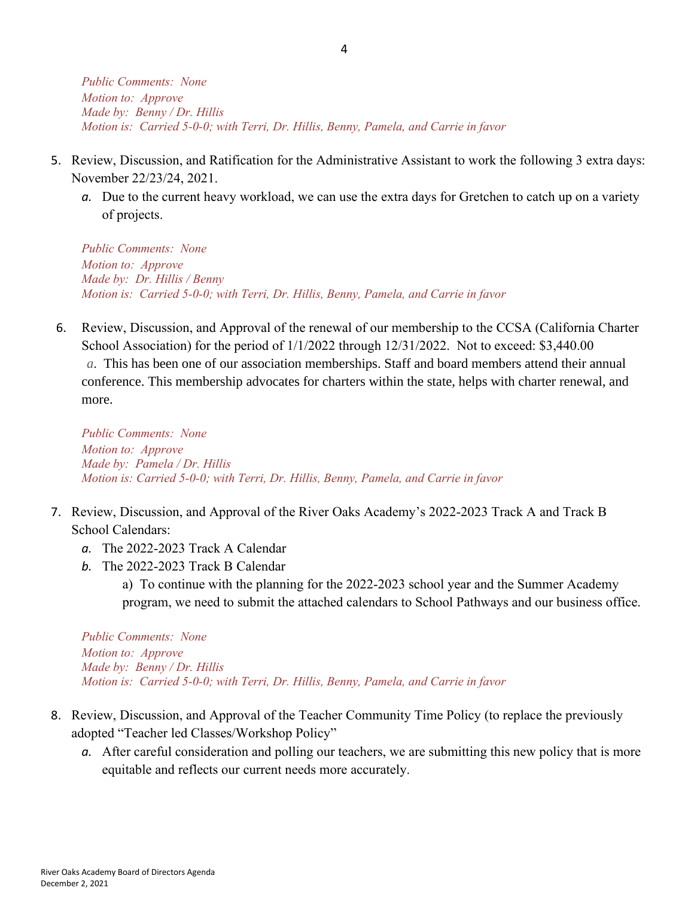*Public Comments: None Motion to: Approve Made by: Benny / Dr. Hillis Motion is: Carried 5-0-0; with Terri, Dr. Hillis, Benny, Pamela, and Carrie in favor*

- 5. Review, Discussion, and Ratification for the Administrative Assistant to work the following 3 extra days: November 22/23/24, 2021.
	- *a.* Due to the current heavy workload, we can use the extra days for Gretchen to catch up on a variety of projects.

*Public Comments: None Motion to: Approve Made by: Dr. Hillis / Benny Motion is: Carried 5-0-0; with Terri, Dr. Hillis, Benny, Pamela, and Carrie in favor*

6. Review, Discussion, and Approval of the renewal of our membership to the CCSA (California Charter School Association) for the period of 1/1/2022 through 12/31/2022. Not to exceed: \$3,440.00 *a*. This has been one of our association memberships. Staff and board members attend their annual conference. This membership advocates for charters within the state, helps with charter renewal, and more.

*Public Comments: None Motion to: Approve Made by: Pamela / Dr. Hillis Motion is: Carried 5-0-0; with Terri, Dr. Hillis, Benny, Pamela, and Carrie in favor* 

- 7. Review, Discussion, and Approval of the River Oaks Academy's 2022-2023 Track A and Track B School Calendars:
	- *a.* The 2022-2023 Track A Calendar
	- *b.* The 2022-2023 Track B Calendar

a) To continue with the planning for the 2022-2023 school year and the Summer Academy program, we need to submit the attached calendars to School Pathways and our business office.

*Public Comments: None Motion to: Approve Made by: Benny / Dr. Hillis Motion is: Carried 5-0-0; with Terri, Dr. Hillis, Benny, Pamela, and Carrie in favor*

- 8. Review, Discussion, and Approval of the Teacher Community Time Policy (to replace the previously adopted "Teacher led Classes/Workshop Policy"
	- *a.* After careful consideration and polling our teachers, we are submitting this new policy that is more equitable and reflects our current needs more accurately.